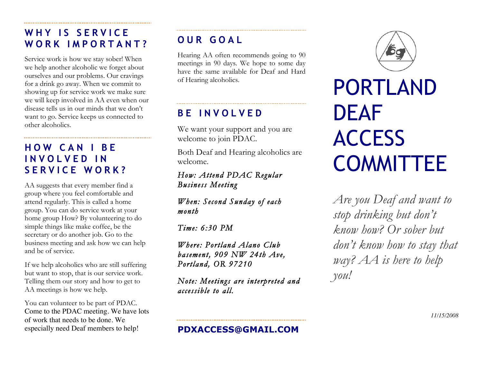## **WHY IS SERVICE WORK IMPORTANT?**

Service work is how we stay sober! When we help another alcoholic we forget about ourselves and our problems. Our cravings for a drink go away. When we commit to showing up for service work we make sure we will keep involved in AA even when our disease tells us in our minds that we don't want to go. Service keeps us connected to other alcoholics.

## **HOW CAN I BE INVOLVED IN SERVICE WORK ?**

AA suggests that every member find a group where you feel comfortable and attend regularly. This is called a home group. You can do service work at your home group How? By volunteering to do simple things like make coffee, be the secretary or do another job. Go to the business meeting and ask how we can help and be of service.

If we help alcoholics who are still suffering but want to stop, that is our service work. Telling them our story and how to get to AA meetings is how we help.

You can volunteer to be part of PDAC. Come to the PDAC meeting. We have lots of work that needs to be done. We especially need Deaf members to help!

## **OUR GOAL**

Hearing AA often recommends going to 90 meetings in 90 days. We hope to some day have the same available for Deaf and Hard of Hearing alcoholics.

## **BE INVOLVED**

We want your support and you are welcome to join PDAC.

Both Deaf and Hearing alcoholics are welcome.

#### *How: Attend PDAC Regular Business Meeting*

*When: Second Sunday of each month* 

*Time: 6:30 PM* 

*Where: Portland Alano Club basement, 909 NW 24th Ave, Portland, OR 97210* 

*Note: Meetings are interpreted and accessible to all.* 



# PORTLAND DEAF **ACCESS** COMMITTEE

*Are you Deaf and want to stop drinking but don't know how? Or sober but don't know how to stay that way? AA is here to help you!*

*11/15/2008*

#### **PDXACCESS@GMAIL.COM**